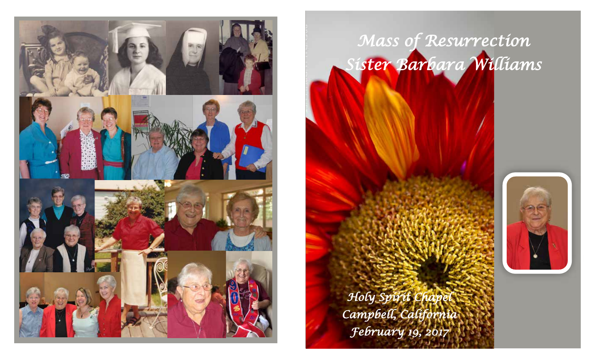

# *Mass of Resurrection Sister Barbara Williams*



*Holy Spirit Chapel Campbell, California February 19, 2017*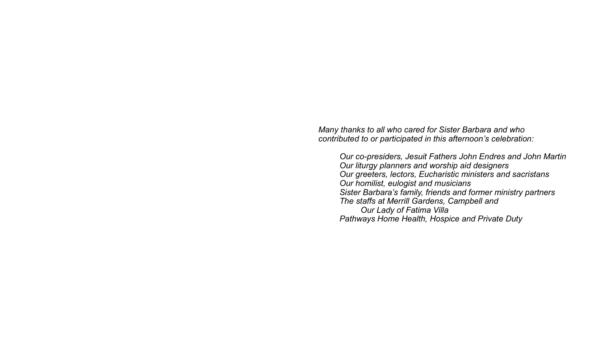*Many thanks to all who cared for Sister Barbara and who contributed to or participated in this afternoon's celebration:*

*Our co-presiders, Jesuit Fathers John Endres and John Martin Our liturgy planners and worship aid designers Our greeters, lectors, Eucharistic ministers and sacristans Our homilist, eulogist and musicians Sister Barbara's family, friends and former ministry partners The staffs at Merrill Gardens, Campbell and Our Lady of Fatima Villa Pathways Home Health, Hospice and Private Duty*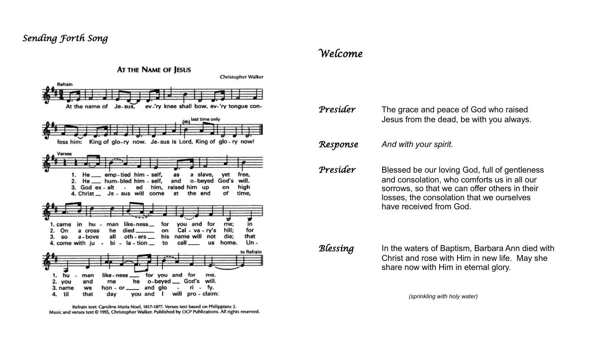## *Sending Forth Song*



Refrain text: Caroline Maria Noel, 1817-1877. Verses text based on Philippians 2. Music and verses text @ 1995, Christopher Walker. Published by OCP Publications. All rights reserved.

### *Welcome*

| Presider | The grace and peace of God who raised<br>Jesus from the dead, be with you always.                                                                                                                                     |
|----------|-----------------------------------------------------------------------------------------------------------------------------------------------------------------------------------------------------------------------|
| Response | And with your spirit.                                                                                                                                                                                                 |
| Presider | Blessed be our loving God, full of gentleness<br>and consolation, who comforts us in all our<br>sorrows, so that we can offer others in their<br>losses, the consolation that we ourselves<br>have received from God. |
| Blessing | In the waters of Baptism, Barbara Ann died with                                                                                                                                                                       |

 Christ and rose with Him in new life. May she share now with Him in eternal glory.

*(sprinkling with holy water)*